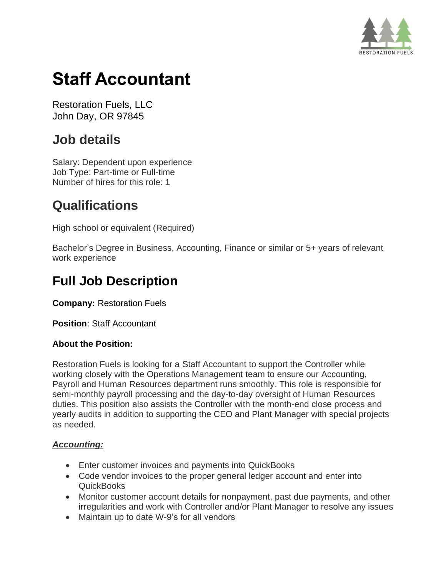

# **Staff Accountant**

Restoration Fuels, LLC John Day, OR 97845

# **Job details**

Salary: Dependent upon experience Job Type: Part-time or Full-time Number of hires for this role: 1

# **Qualifications**

High school or equivalent (Required)

Bachelor's Degree in Business, Accounting, Finance or similar or 5+ years of relevant work experience

# **Full Job Description**

**Company:** Restoration Fuels

**Position**: Staff Accountant

#### **About the Position:**

Restoration Fuels is looking for a Staff Accountant to support the Controller while working closely with the Operations Management team to ensure our Accounting, Payroll and Human Resources department runs smoothly. This role is responsible for semi-monthly payroll processing and the day-to-day oversight of Human Resources duties. This position also assists the Controller with the month-end close process and yearly audits in addition to supporting the CEO and Plant Manager with special projects as needed.

## *Accounting:*

- Enter customer invoices and payments into QuickBooks
- Code vendor invoices to the proper general ledger account and enter into QuickBooks
- Monitor customer account details for nonpayment, past due payments, and other irregularities and work with Controller and/or Plant Manager to resolve any issues
- Maintain up to date W-9's for all vendors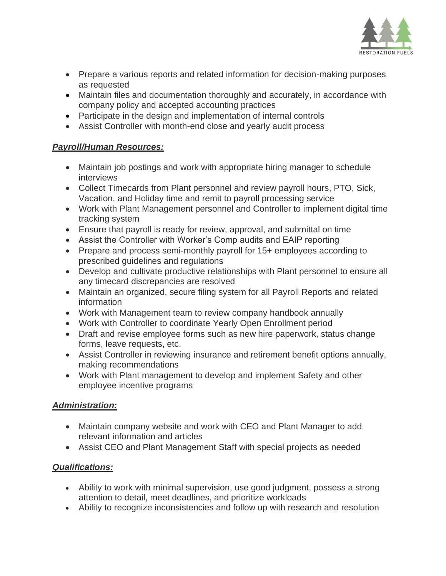

- Prepare a various reports and related information for decision-making purposes as requested
- Maintain files and documentation thoroughly and accurately, in accordance with company policy and accepted accounting practices
- Participate in the design and implementation of internal controls
- Assist Controller with month-end close and yearly audit process

## *Payroll/Human Resources:*

- Maintain job postings and work with appropriate hiring manager to schedule interviews
- Collect Timecards from Plant personnel and review payroll hours, PTO, Sick, Vacation, and Holiday time and remit to payroll processing service
- Work with Plant Management personnel and Controller to implement digital time tracking system
- Ensure that payroll is ready for review, approval, and submittal on time
- Assist the Controller with Worker's Comp audits and EAIP reporting
- Prepare and process semi-monthly payroll for 15+ employees according to prescribed guidelines and regulations
- Develop and cultivate productive relationships with Plant personnel to ensure all any timecard discrepancies are resolved
- Maintain an organized, secure filing system for all Payroll Reports and related information
- Work with Management team to review company handbook annually
- Work with Controller to coordinate Yearly Open Enrollment period
- Draft and revise employee forms such as new hire paperwork, status change forms, leave requests, etc.
- Assist Controller in reviewing insurance and retirement benefit options annually, making recommendations
- Work with Plant management to develop and implement Safety and other employee incentive programs

## *Administration:*

- Maintain company website and work with CEO and Plant Manager to add relevant information and articles
- Assist CEO and Plant Management Staff with special projects as needed

## *Qualifications:*

- Ability to work with minimal supervision, use good judgment, possess a strong attention to detail, meet deadlines, and prioritize workloads
- Ability to recognize inconsistencies and follow up with research and resolution